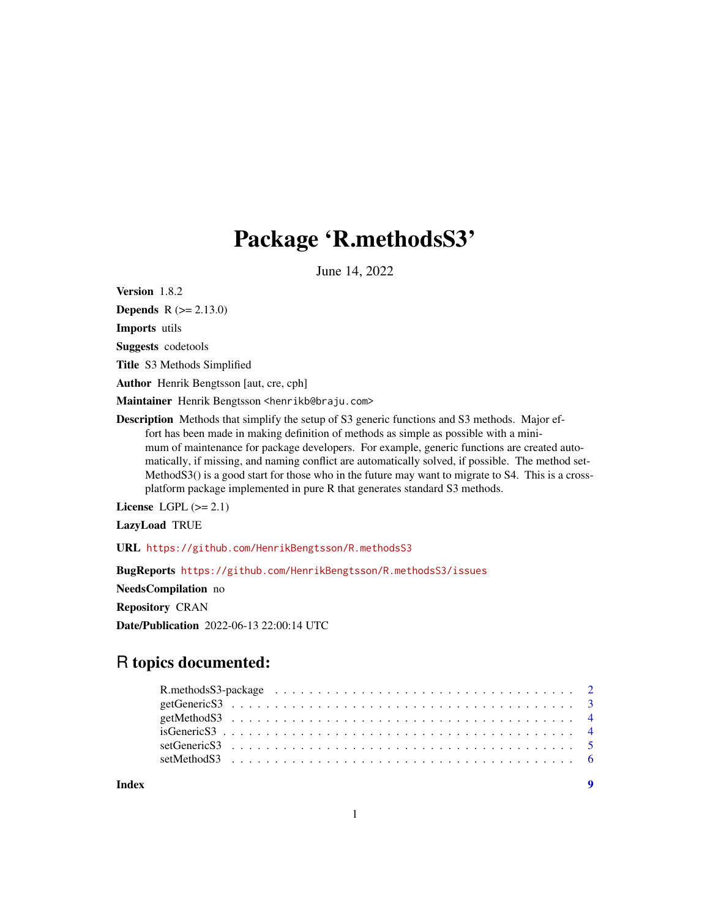## Package 'R.methodsS3'

June 14, 2022

<span id="page-0-0"></span>Version 1.8.2

**Depends** R  $(>= 2.13.0)$ 

Imports utils

Suggests codetools

Title S3 Methods Simplified

Author Henrik Bengtsson [aut, cre, cph]

Maintainer Henrik Bengtsson <henrikb@braju.com>

Description Methods that simplify the setup of S3 generic functions and S3 methods. Major effort has been made in making definition of methods as simple as possible with a minimum of maintenance for package developers. For example, generic functions are created automatically, if missing, and naming conflict are automatically solved, if possible. The method set-MethodS3() is a good start for those who in the future may want to migrate to S4. This is a crossplatform package implemented in pure R that generates standard S3 methods.

License LGPL  $(>= 2.1)$ 

LazyLoad TRUE

URL <https://github.com/HenrikBengtsson/R.methodsS3>

BugReports <https://github.com/HenrikBengtsson/R.methodsS3/issues>

NeedsCompilation no

Repository CRAN

Date/Publication 2022-06-13 22:00:14 UTC

## R topics documented:

| Index |  |  |  |  |  |  |  |  |  |  |  |  |  |  |  |  |  | $\overline{\mathbf{9}}$ |
|-------|--|--|--|--|--|--|--|--|--|--|--|--|--|--|--|--|--|-------------------------|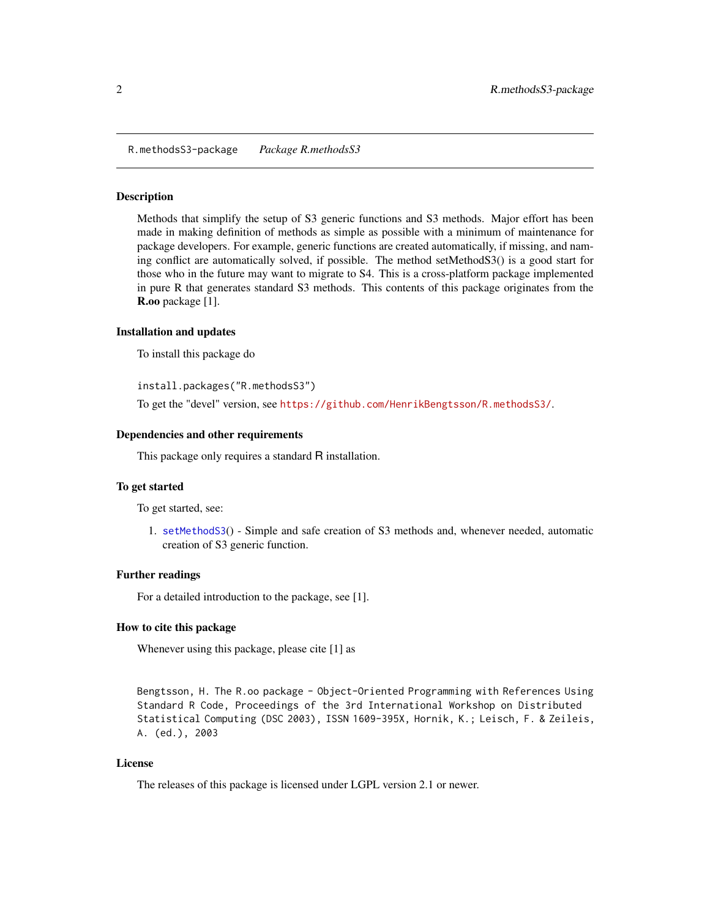<span id="page-1-0"></span>R.methodsS3-package *Package R.methodsS3*

#### Description

Methods that simplify the setup of S3 generic functions and S3 methods. Major effort has been made in making definition of methods as simple as possible with a minimum of maintenance for package developers. For example, generic functions are created automatically, if missing, and naming conflict are automatically solved, if possible. The method setMethodS3() is a good start for those who in the future may want to migrate to S4. This is a cross-platform package implemented in pure R that generates standard S3 methods. This contents of this package originates from the R.oo package [1].

#### Installation and updates

To install this package do

install.packages("R.methodsS3")

To get the "devel" version, see <https://github.com/HenrikBengtsson/R.methodsS3/>.

#### Dependencies and other requirements

This package only requires a standard R installation.

#### To get started

To get started, see:

1. [setMethodS3](#page-5-1)() - Simple and safe creation of S3 methods and, whenever needed, automatic creation of S3 generic function.

#### Further readings

For a detailed introduction to the package, see [1].

#### How to cite this package

Whenever using this package, please cite [1] as

Bengtsson, H. The R.oo package - Object-Oriented Programming with References Using Standard R Code, Proceedings of the 3rd International Workshop on Distributed Statistical Computing (DSC 2003), ISSN 1609-395X, Hornik, K.; Leisch, F. & Zeileis, A. (ed.), 2003

#### License

The releases of this package is licensed under LGPL version 2.1 or newer.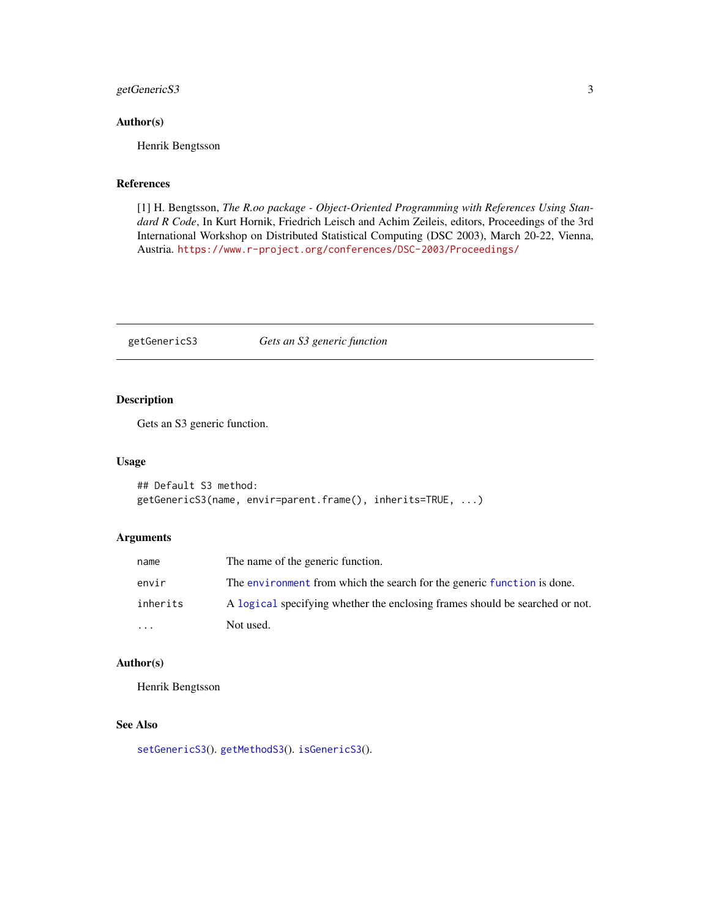#### <span id="page-2-0"></span>getGenericS3 3

#### Author(s)

Henrik Bengtsson

#### References

[1] H. Bengtsson, *The R.oo package - Object-Oriented Programming with References Using Standard R Code*, In Kurt Hornik, Friedrich Leisch and Achim Zeileis, editors, Proceedings of the 3rd International Workshop on Distributed Statistical Computing (DSC 2003), March 20-22, Vienna, Austria. <https://www.r-project.org/conferences/DSC-2003/Proceedings/>

<span id="page-2-1"></span>getGenericS3 *Gets an S3 generic function*

#### Description

Gets an S3 generic function.

#### Usage

```
## Default S3 method:
getGenericS3(name, envir=parent.frame(), inherits=TRUE, ...)
```
#### Arguments

| name                    | The name of the generic function.                                            |
|-------------------------|------------------------------------------------------------------------------|
| envir                   | The environment from which the search for the generic function is done.      |
| inherits                | A logical specifying whether the enclosing frames should be searched or not. |
| $\cdot$ $\cdot$ $\cdot$ | Not used.                                                                    |

#### Author(s)

Henrik Bengtsson

#### See Also

[setGenericS3](#page-4-1)(). [getMethodS3](#page-3-1)(). [isGenericS3](#page-3-2)().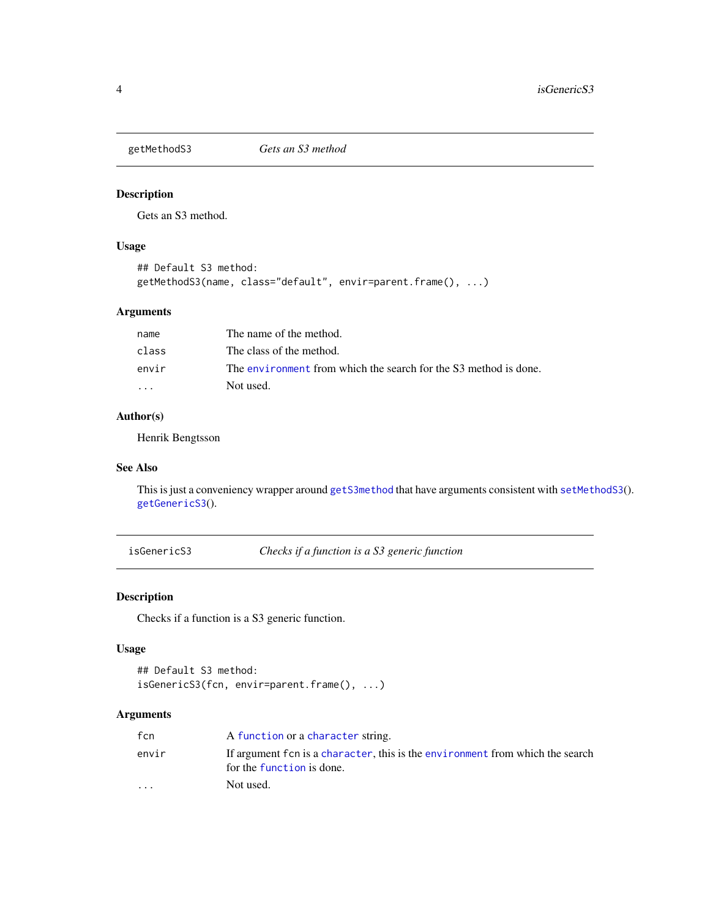<span id="page-3-1"></span><span id="page-3-0"></span>

#### Description

Gets an S3 method.

#### Usage

```
## Default S3 method:
getMethodS3(name, class="default", envir=parent.frame(), ...)
```
#### Arguments

| name  | The name of the method.                                          |
|-------|------------------------------------------------------------------|
| class | The class of the method.                                         |
| envir | The environment from which the search for the S3 method is done. |
| .     | Not used.                                                        |

#### Author(s)

Henrik Bengtsson

#### See Also

This is just a conveniency wrapper around [getS3method](#page-0-0) that have arguments consistent with [setMethodS3](#page-5-1)(). [getGenericS3](#page-2-1)().

<span id="page-3-2"></span>isGenericS3 *Checks if a function is a S3 generic function*

#### Description

Checks if a function is a S3 generic function.

#### Usage

```
## Default S3 method:
isGenericS3(fcn, envir=parent.frame(), ...)
```
#### Arguments

| fcn                     | A function or a character string.                                                                          |
|-------------------------|------------------------------------------------------------------------------------------------------------|
| envir                   | If argument fcn is a character, this is the environment from which the search<br>for the function is done. |
| $\cdot$ $\cdot$ $\cdot$ | Not used.                                                                                                  |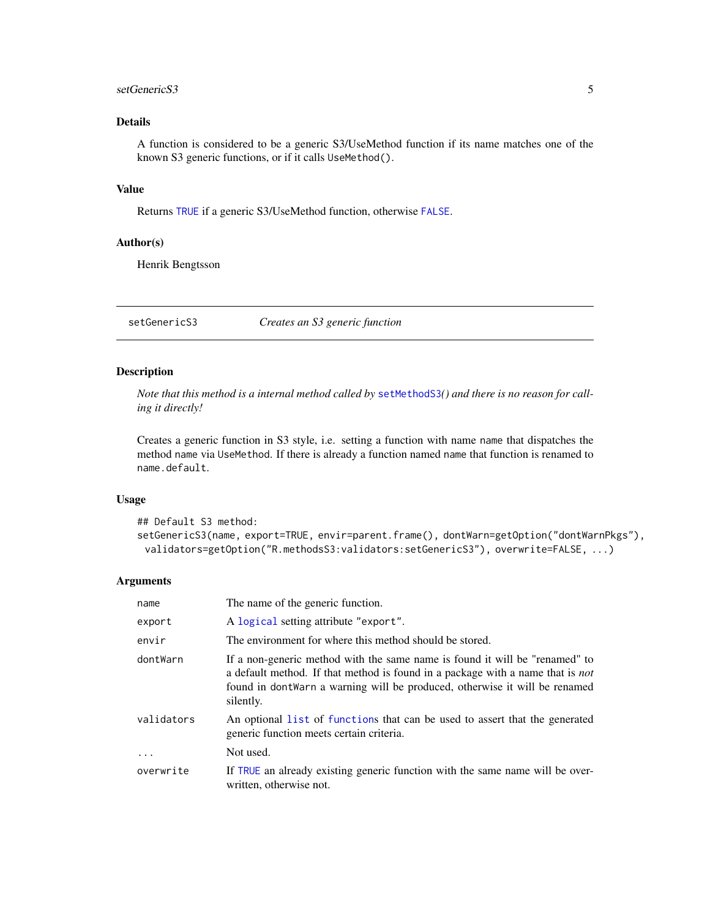#### <span id="page-4-0"></span>setGenericS3 5

#### Details

A function is considered to be a generic S3/UseMethod function if its name matches one of the known S3 generic functions, or if it calls UseMethod().

#### Value

Returns [TRUE](#page-0-0) if a generic S3/UseMethod function, otherwise [FALSE](#page-0-0).

#### Author(s)

Henrik Bengtsson

<span id="page-4-1"></span>setGenericS3 *Creates an S3 generic function*

#### Description

*Note that this method is a internal method called by* [setMethodS3](#page-5-1)*() and there is no reason for calling it directly!*

Creates a generic function in S3 style, i.e. setting a function with name name that dispatches the method name via UseMethod. If there is already a function named name that function is renamed to name.default.

#### Usage

```
## Default S3 method:
setGenericS3(name, export=TRUE, envir=parent.frame(), dontWarn=getOption("dontWarnPkgs"),
 validators=getOption("R.methodsS3:validators:setGenericS3"), overwrite=FALSE, ...)
```
#### Arguments

| name       | The name of the generic function.                                                                                                                                                                                                                                |
|------------|------------------------------------------------------------------------------------------------------------------------------------------------------------------------------------------------------------------------------------------------------------------|
| export     | A logical setting attribute "export".                                                                                                                                                                                                                            |
| envir      | The environment for where this method should be stored.                                                                                                                                                                                                          |
| dontWarn   | If a non-generic method with the same name is found it will be "renamed" to<br>a default method. If that method is found in a package with a name that is <i>not</i><br>found in dont warn a warning will be produced, otherwise it will be renamed<br>silently. |
| validators | An optional list of functions that can be used to assert that the generated<br>generic function meets certain criteria.                                                                                                                                          |
| $\ddots$ . | Not used.                                                                                                                                                                                                                                                        |
| overwrite  | If TRUE an already existing generic function with the same name will be over-<br>written, otherwise not.                                                                                                                                                         |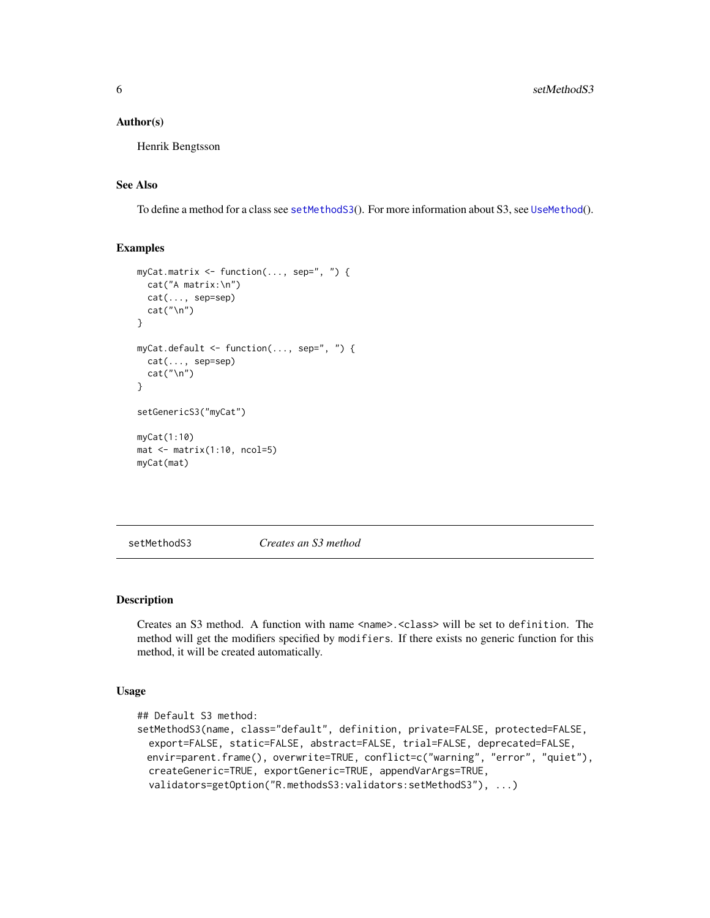#### <span id="page-5-0"></span>Author(s)

Henrik Bengtsson

#### See Also

To define a method for a class see [setMethodS3](#page-5-1)(). For more information about S3, see [UseMethod](#page-0-0)().

#### Examples

```
myCat.matrix <- function(..., sep=", ") {
  cat("A matrix:\n")
  cat(..., sep=sep)
  cat("\n")
}
myCat.default <- function(..., sep=", ") {
  cat(..., sep=sep)
  cat("\n")
}
setGenericS3("myCat")
myCat(1:10)
mat < -matrix(1:10, ncol=5)myCat(mat)
```
<span id="page-5-1"></span>setMethodS3 *Creates an S3 method*

#### Description

Creates an S3 method. A function with name <name>.<class> will be set to definition. The method will get the modifiers specified by modifiers. If there exists no generic function for this method, it will be created automatically.

#### Usage

```
## Default S3 method:
setMethodS3(name, class="default", definition, private=FALSE, protected=FALSE,
  export=FALSE, static=FALSE, abstract=FALSE, trial=FALSE, deprecated=FALSE,
 envir=parent.frame(), overwrite=TRUE, conflict=c("warning", "error", "quiet"),
  createGeneric=TRUE, exportGeneric=TRUE, appendVarArgs=TRUE,
  validators=getOption("R.methodsS3:validators:setMethodS3"), ...)
```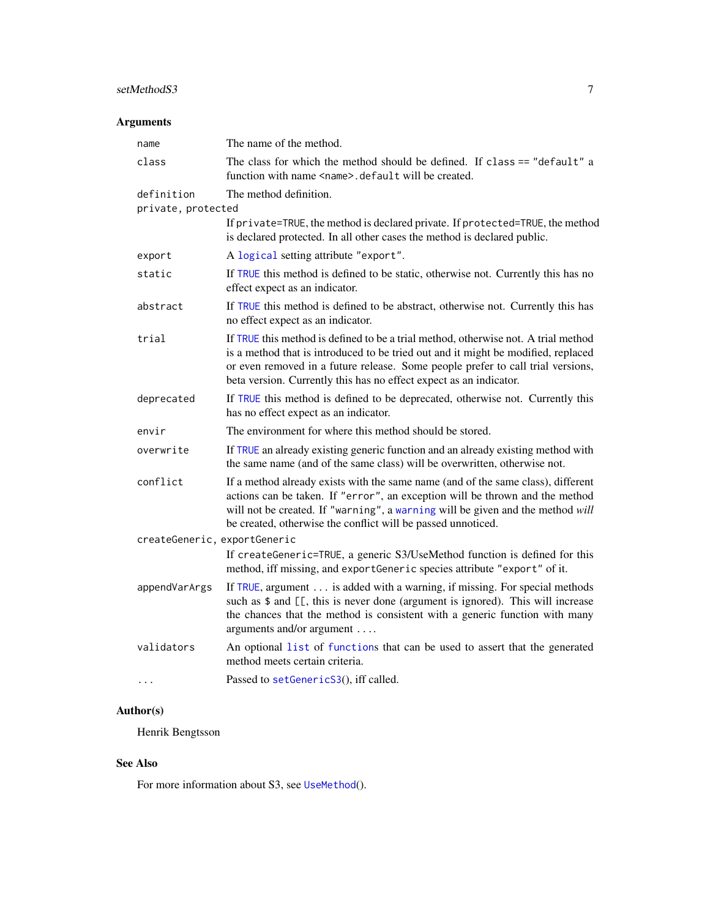#### <span id="page-6-0"></span>setMethodS3 7

#### Arguments

| name                             | The name of the method.                                                                                                                                                                                                                                                                                                          |
|----------------------------------|----------------------------------------------------------------------------------------------------------------------------------------------------------------------------------------------------------------------------------------------------------------------------------------------------------------------------------|
| class                            | The class for which the method should be defined. If class == "default" a<br>function with name <name>.default will be created.</name>                                                                                                                                                                                           |
| definition<br>private, protected | The method definition.                                                                                                                                                                                                                                                                                                           |
|                                  | If private=TRUE, the method is declared private. If protected=TRUE, the method<br>is declared protected. In all other cases the method is declared public.                                                                                                                                                                       |
| export                           | A logical setting attribute "export".                                                                                                                                                                                                                                                                                            |
| static                           | If TRUE this method is defined to be static, otherwise not. Currently this has no<br>effect expect as an indicator.                                                                                                                                                                                                              |
| abstract                         | If TRUE this method is defined to be abstract, otherwise not. Currently this has<br>no effect expect as an indicator.                                                                                                                                                                                                            |
| trial                            | If TRUE this method is defined to be a trial method, otherwise not. A trial method<br>is a method that is introduced to be tried out and it might be modified, replaced<br>or even removed in a future release. Some people prefer to call trial versions,<br>beta version. Currently this has no effect expect as an indicator. |
| deprecated                       | If TRUE this method is defined to be deprecated, otherwise not. Currently this<br>has no effect expect as an indicator.                                                                                                                                                                                                          |
| envir                            | The environment for where this method should be stored.                                                                                                                                                                                                                                                                          |
| overwrite                        | If TRUE an already existing generic function and an already existing method with<br>the same name (and of the same class) will be overwritten, otherwise not.                                                                                                                                                                    |
| conflict                         | If a method already exists with the same name (and of the same class), different<br>actions can be taken. If "error", an exception will be thrown and the method<br>will not be created. If "warning", a warning will be given and the method will<br>be created, otherwise the conflict will be passed unnoticed.               |
| createGeneric, exportGeneric     |                                                                                                                                                                                                                                                                                                                                  |
|                                  | If createGeneric=TRUE, a generic S3/UseMethod function is defined for this<br>method, iff missing, and exportGeneric species attribute "export" of it.                                                                                                                                                                           |
| appendVarArgs                    | If TRUE, argument is added with a warning, if missing. For special methods<br>such as \$ and [[, this is never done (argument is ignored). This will increase<br>the chances that the method is consistent with a generic function with many<br>arguments and/or argument                                                        |
| validators                       | An optional list of functions that can be used to assert that the generated<br>method meets certain criteria.                                                                                                                                                                                                                    |
| $\cdots$                         | Passed to setGenericS3(), iff called.                                                                                                                                                                                                                                                                                            |
|                                  |                                                                                                                                                                                                                                                                                                                                  |

### Author(s)

Henrik Bengtsson

#### See Also

For more information about S3, see [UseMethod](#page-0-0)().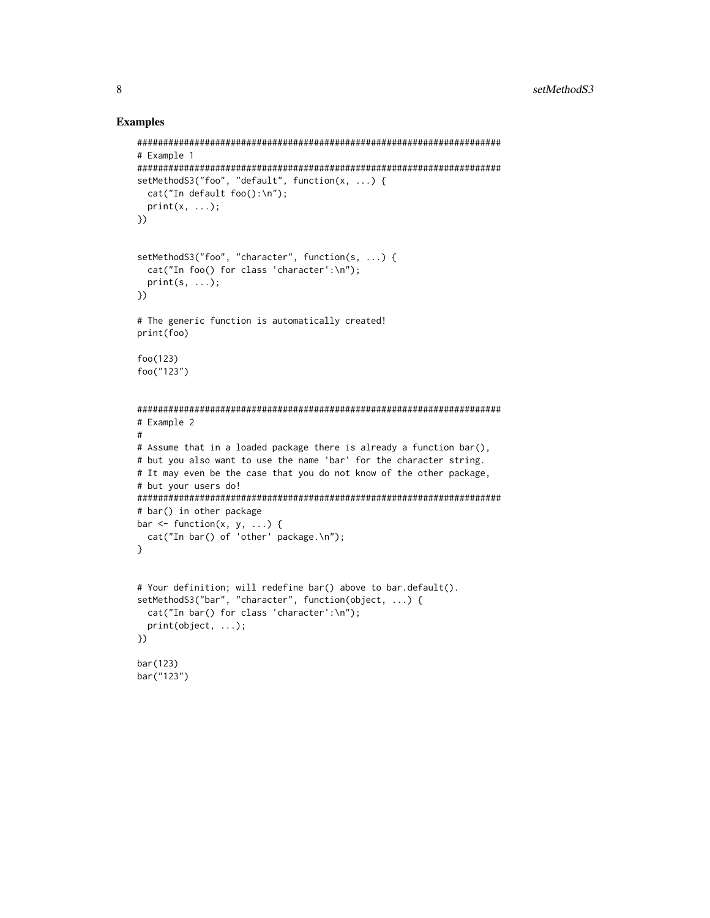#### Examples

```
######################################################################
# Example 1
######################################################################
setMethodS3("foo", "default", function(x, ...) {
  cat("In default foo():\n");
  print(x, \ldots);})
setMethodS3("foo", "character", function(s, ...) {
  cat("In foo() for class 'character':\n");
  print(s, ...);
})
# The generic function is automatically created!
print(foo)
foo(123)
foo("123")
######################################################################
# Example 2
#
# Assume that in a loaded package there is already a function bar(),
# but you also want to use the name 'bar' for the character string.
# It may even be the case that you do not know of the other package,
# but your users do!
######################################################################
# bar() in other package
bar \leq function(x, y, ...) {
  cat("In bar() of 'other' package.\n");
}
# Your definition; will redefine bar() above to bar.default().
setMethodS3("bar", "character", function(object, ...) {
  cat("In bar() for class 'character':\n");
  print(object, ...);
})
bar(123)
bar("123")
```